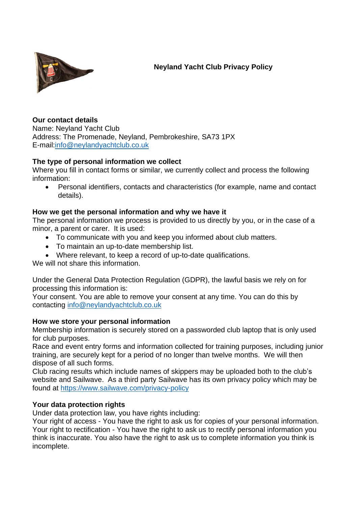

# **Neyland Yacht Club Privacy Policy**

**Our contact details** Name: Neyland Yacht Club Address: The Promenade, Neyland, Pembrokeshire, SA73 1PX E-mail[:info@neylandyachtclub.co.uk](mailto:info@neylandyachtclub.co.uk)

## **The type of personal information we collect**

Where you fill in contact forms or similar, we currently collect and process the following information:

• Personal identifiers, contacts and characteristics (for example, name and contact details).

## **How we get the personal information and why we have it**

The personal information we process is provided to us directly by you, or in the case of a minor, a parent or carer. It is used:

- To communicate with you and keep you informed about club matters.
- To maintain an up-to-date membership list.
- Where relevant, to keep a record of up-to-date qualifications.

We will not share this information.

Under the General Data Protection Regulation (GDPR), the lawful basis we rely on for processing this information is:

Your consent. You are able to remove your consent at any time. You can do this by contacting [info@neylandyachtclub.co.uk](mailto:info@neylandyachtclub.co.uk)

### **How we store your personal information**

Membership information is securely stored on a passworded club laptop that is only used for club purposes.

Race and event entry forms and information collected for training purposes, including junior training, are securely kept for a period of no longer than twelve months. We will then dispose of all such forms.

Club racing results which include names of skippers may be uploaded both to the club's website and Sailwave. As a third party Sailwave has its own privacy policy which may be found at <https://www.sailwave.com/privacy-policy>

## **Your data protection rights**

Under data protection law, you have rights including:

Your right of access - You have the right to ask us for copies of your personal information. Your right to rectification - You have the right to ask us to rectify personal information you think is inaccurate. You also have the right to ask us to complete information you think is incomplete.